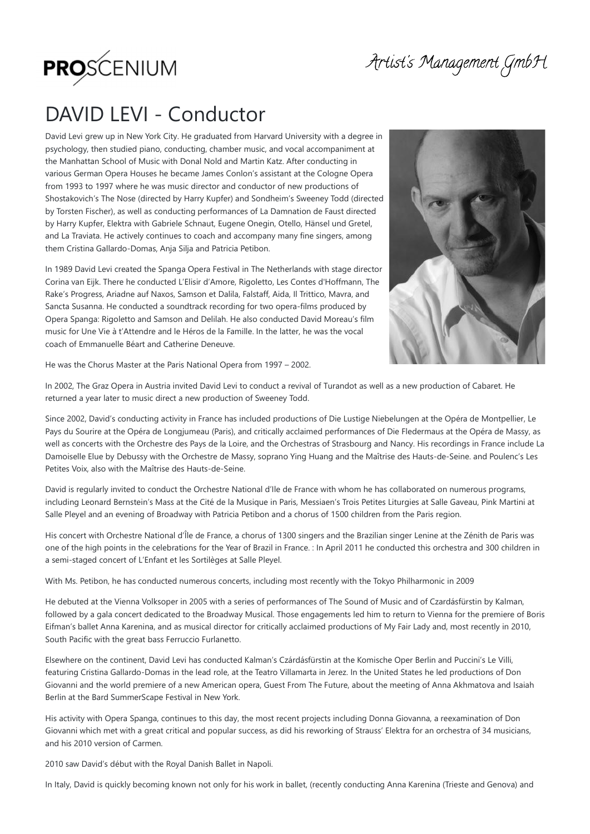

Artist's Management GmbH

## DAVID LEVI - Conductor

David Levi grew up in New York City. He graduated from Harvard University with a degree in psychology, then studied piano, conducting, chamber music, and vocal accompaniment at the Manhattan School of Music with Donal Nold and Martin Katz. After conducting in various German Opera Houses he became James Conlon's assistant at the Cologne Opera from 1993 to 1997 where he was music director and conductor of new productions of Shostakovich's The Nose (directed by Harry Kupfer) and Sondheim's Sweeney Todd (directed by Torsten Fischer), as well as conducting performances of La Damnation de Faust directed by Harry Kupfer, Elektra with Gabriele Schnaut, Eugene Onegin, Otello, Hänsel und Gretel, and La Traviata. He actively continues to coach and accompany many fine singers, among them Cristina Gallardo-Domas, Anja Silja and Patricia Petibon.

In 1989 David Levi created the Spanga Opera Festival in The Netherlands with stage director Corina van Eijk. There he conducted L'Elisir d'Amore, Rigoletto, Les Contes d'Hoffmann, The Rake's Progress, Ariadne auf Naxos, Samson et Dalila, Falstaff, Aida, Il Trittico, Mavra, and Sancta Susanna. He conducted a soundtrack recording for two opera-films produced by Opera Spanga: Rigoletto and Samson and Delilah. He also conducted David Moreau's film music for Une Vie à t'Attendre and le Héros de la Famille. In the latter, he was the vocal coach of Emmanuelle Béart and Catherine Deneuve.



He was the Chorus Master at the Paris National Opera from 1997 – 2002.

In 2002, The Graz Opera in Austria invited David Levi to conduct a revival of Turandot as well as a new production of Cabaret. He returned a year later to music direct a new production of Sweeney Todd.

Since 2002, David's conducting activity in France has included productions of Die Lustige Niebelungen at the Opéra de Montpellier, Le Pays du Sourire at the Opéra de Longjumeau (Paris), and critically acclaimed performances of Die Fledermaus at the Opéra de Massy, as well as concerts with the Orchestre des Pays de la Loire, and the Orchestras of Strasbourg and Nancy. His recordings in France include La Damoiselle Elue by Debussy with the Orchestre de Massy, soprano Ying Huang and the Maîtrise des Hauts-de-Seine. and Poulenc's Les Petites Voix, also with the Maîtrise des Hauts-de-Seine.

David is regularly invited to conduct the Orchestre National d'Ile de France with whom he has collaborated on numerous programs, including Leonard Bernstein's Mass at the Cité de la Musique in Paris, Messiaen's Trois Petites Liturgies at Salle Gaveau, Pink Martini at Salle Pleyel and an evening of Broadway with Patricia Petibon and a chorus of 1500 children from the Paris region.

His concert with Orchestre National d'Île de France, a chorus of 1300 singers and the Brazilian singer Lenine at the Zénith de Paris was one of the high points in the celebrations for the Year of Brazil in France. : In April 2011 he conducted this orchestra and 300 children in a semi-staged concert of L'Enfant et les Sortilèges at Salle Pleyel.

With Ms. Petibon, he has conducted numerous concerts, including most recently with the Tokyo Philharmonic in 2009

He debuted at the Vienna Volksoper in 2005 with a series of performances of The Sound of Music and of Czardásfürstin by Kalman, followed by a gala concert dedicated to the Broadway Musical. Those engagements led him to return to Vienna for the premiere of Boris Eifman's ballet Anna Karenina, and as musical director for critically acclaimed productions of My Fair Lady and, most recently in 2010, South Pacific with the great bass Ferruccio Furlanetto.

Elsewhere on the continent, David Levi has conducted Kalman's Czárdásfürstin at the Komische Oper Berlin and Puccini's Le Villi, featuring Cristina Gallardo-Domas in the lead role, at the Teatro Villamarta in Jerez. In the United States he led productions of Don Giovanni and the world premiere of a new American opera, Guest From The Future, about the meeting of Anna Akhmatova and Isaiah Berlin at the Bard SummerScape Festival in New York.

His activity with Opera Spanga, continues to this day, the most recent projects including Donna Giovanna, a reexamination of Don Giovanni which met with a great critical and popular success, as did his reworking of Strauss' Elektra for an orchestra of 34 musicians, and his 2010 version of Carmen.

2010 saw David's début with the Royal Danish Ballet in Napoli.

In Italy, David is quickly becoming known not only for his work in ballet, (recently conducting Anna Karenina (Trieste and Genova) and